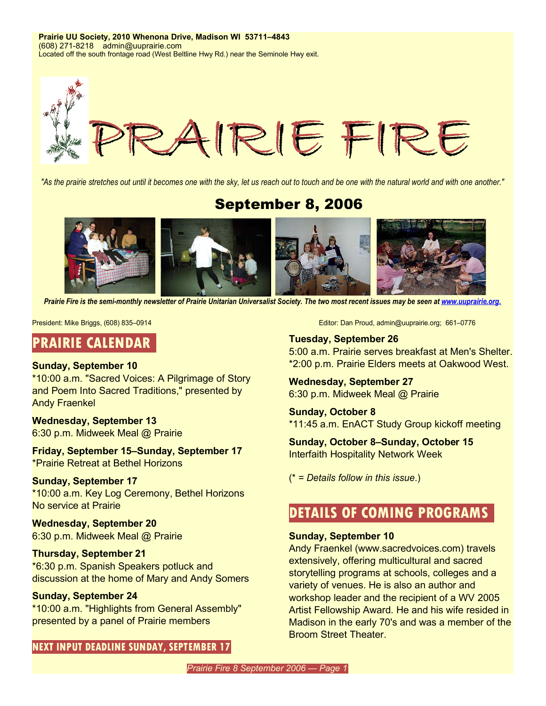**Prairie UU Society, 2010 Whenona Drive, Madison WI 53711–4843** (608) 271-8218 admin@uuprairie.com Located off the south frontage road (West Beltline Hwy Rd.) near the Seminole Hwy exit.



"As the prairie stretches out until it becomes one with the sky, let us reach out to touch and be one with the natural world and with one another."

## September 8, 2006



*Prairie Fire is the semi-monthly newsletter of Prairie Unitarian Universalist Society. The two most recent issues may be seen at www.uuprairie.org.* 

## **PRAIRIE CALENDAR**

#### **Sunday, September 10**

\*10:00 a.m. "Sacred Voices: A Pilgrimage of Story and Poem Into Sacred Traditions," presented by Andy Fraenkel

## **Wednesday, September 13**

6:30 p.m. Midweek Meal @ Prairie

#### **Friday, September 15–Sunday, September 17** \*Prairie Retreat at Bethel Horizons

#### **Sunday, September 17**

\*10:00 a.m. Key Log Ceremony, Bethel Horizons No service at Prairie

## **Wednesday, September 20**

6:30 p.m. Midweek Meal @ Prairie

## **Thursday, September 21**

\*6:30 p.m. Spanish Speakers potluck and discussion at the home of Mary and Andy Somers

## **Sunday, September 24**

\*10:00 a.m. "Highlights from General Assembly" presented by a panel of Prairie members

**NEXT INPUT DEADLINE SUNDAY, SEPTEMBER 17**

President: Mike Briggs, (608) 835–0914 **Editor: Dan Proud, admin@uuprairie.org**; 661–0776

## **Tuesday, September 26** 5:00 a.m. Prairie serves breakfast at Men's Shelter. \*2:00 p.m. Prairie Elders meets at Oakwood West.

**Wednesday, September 27** 6:30 p.m. Midweek Meal @ Prairie

**Sunday, October 8** \*11:45 a.m. EnACT Study Group kickoff meeting

**Sunday, October 8–Sunday, October 15** Interfaith Hospitality Network Week

(\* *= Details follow in this issue*.)

## **DETAILS OF COMING PROGRAMS**

#### **Sunday, September 10**

Andy Fraenkel (www.sacredvoices.com) travels extensively, offering multicultural and sacred storytelling programs at schools, colleges and a variety of venues. He is also an author and workshop leader and the recipient of a WV 2005 Artist Fellowship Award. He and his wife resided in Madison in the early 70's and was a member of the Broom Street Theater.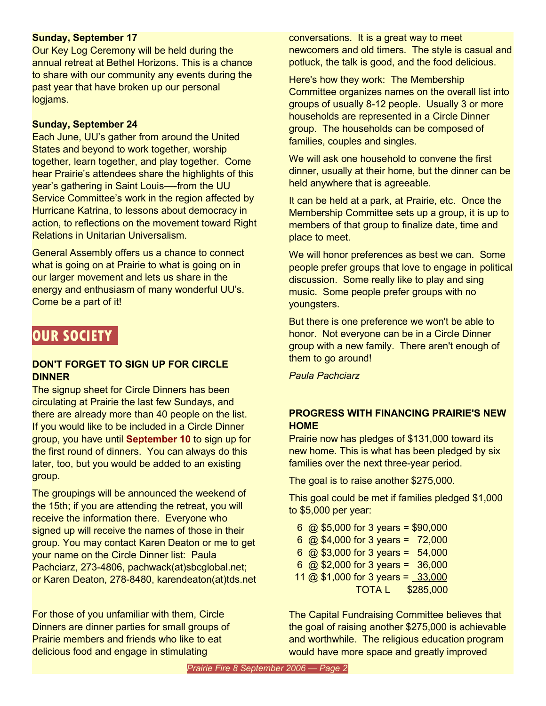## **Sunday, September 17**

Our Key Log Ceremony will be held during the annual retreat at Bethel Horizons. This is a chance to share with our community any events during the past year that have broken up our personal logjams.

## **Sunday, September 24**

Each June, UU's gather from around the United States and beyond to work together, worship together, learn together, and play together. Come hear Prairie's attendees share the highlights of this year's gathering in Saint Louis—-from the UU Service Committee's work in the region affected by Hurricane Katrina, to lessons about democracy in action, to reflections on the movement toward Right Relations in Unitarian Universalism.

General Assembly offers us a chance to connect what is going on at Prairie to what is going on in our larger movement and lets us share in the energy and enthusiasm of many wonderful UU's. Come be a part of it!

## **OUR SOCIETY**

## **DON'T FORGET TO SIGN UP FOR CIRCLE DINNER**

The signup sheet for Circle Dinners has been circulating at Prairie the last few Sundays, and there are already more than 40 people on the list. If you would like to be included in a Circle Dinner group, you have until **September 10** to sign up for the first round of dinners. You can always do this later, too, but you would be added to an existing group.

The groupings will be announced the weekend of the 15th; if you are attending the retreat, you will receive the information there. Everyone who signed up will receive the names of those in their group. You may contact Karen Deaton or me to get your name on the Circle Dinner list: Paula Pachciarz, 273-4806, pachwack(at)sbcglobal.net; or Karen Deaton, 278-8480, karendeaton(at)tds.net

For those of you unfamiliar with them, Circle Dinners are dinner parties for small groups of Prairie members and friends who like to eat delicious food and engage in stimulating

conversations. It is a great way to meet newcomers and old timers. The style is casual and potluck, the talk is good, and the food delicious.

Here's how they work: The Membership Committee organizes names on the overall list into groups of usually 8-12 people. Usually 3 or more households are represented in a Circle Dinner group. The households can be composed of families, couples and singles.

We will ask one household to convene the first dinner, usually at their home, but the dinner can be held anywhere that is agreeable.

It can be held at a park, at Prairie, etc. Once the Membership Committee sets up a group, it is up to members of that group to finalize date, time and place to meet.

We will honor preferences as best we can. Some people prefer groups that love to engage in political discussion. Some really like to play and sing music. Some people prefer groups with no youngsters.

But there is one preference we won't be able to honor. Not everyone can be in a Circle Dinner group with a new family. There aren't enough of them to go around!

*Paula Pachciarz*

## **PROGRESS WITH FINANCING PRAIRIE'S NEW HOME**

Prairie now has pledges of \$131,000 toward its new home. This is what has been pledged by six families over the next three-year period.

The goal is to raise another \$275,000.

This goal could be met if families pledged \$1,000 to \$5,000 per year:

|  |                             |  | 6 @ \$5,000 for 3 years = \$90,000 |
|--|-----------------------------|--|------------------------------------|
|  |                             |  | 6 @ \$4,000 for 3 years = $72,000$ |
|  | 6 @ \$3,000 for 3 years =   |  | 54,000                             |
|  | 6 $@$ \$2,000 for 3 years = |  | 36,000                             |
|  |                             |  | 11 @ \$1,000 for 3 years = 33,000  |
|  |                             |  | <b>TOTA L \$285,000</b>            |

The Capital Fundraising Committee believes that the goal of raising another \$275,000 is achievable and worthwhile. The religious education program would have more space and greatly improved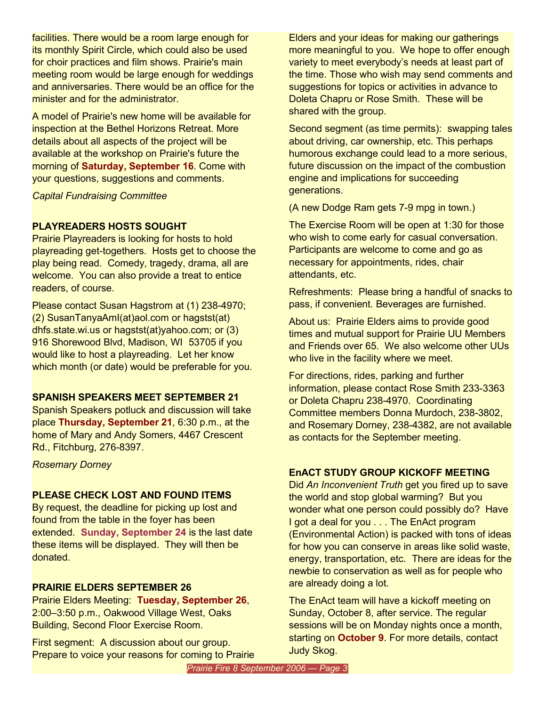facilities. There would be a room large enough for its monthly Spirit Circle, which could also be used for choir practices and film shows. Prairie's main meeting room would be large enough for weddings and anniversaries. There would be an office for the minister and for the administrator.

A model of Prairie's new home will be available for inspection at the Bethel Horizons Retreat. More details about all aspects of the project will be available at the workshop on Prairie's future the morning of **Saturday, September 16**. Come with your questions, suggestions and comments.

*Capital Fundraising Committee*

## **PLAYREADERS HOSTS SOUGHT**

Prairie Playreaders is looking for hosts to hold playreading get-togethers. Hosts get to choose the play being read. Comedy, tragedy, drama, all are welcome. You can also provide a treat to entice readers, of course.

Please contact Susan Hagstrom at (1) 238-4970; (2) SusanTanyaAmI(at)aol.com or hagstst(at) dhfs.state.wi.us or hagstst(at)yahoo.com; or (3) 916 Shorewood Blvd, Madison, WI 53705 if you would like to host a playreading. Let her know which month (or date) would be preferable for you.

## **SPANISH SPEAKERS MEET SEPTEMBER 21**

Spanish Speakers potluck and discussion will take place **Thursday, September 21**, 6:30 p.m., at the home of Mary and Andy Somers, 4467 Crescent Rd., Fitchburg, 276-8397.

*Rosemary Dorney*

## **PLEASE CHECK LOST AND FOUND ITEMS**

By request, the deadline for picking up lost and found from the table in the foyer has been extended. **Sunday, September 24** is the last date these items will be displayed. They will then be donated.

## **PRAIRIE ELDERS SEPTEMBER 26**

Prairie Elders Meeting: **Tuesday, September 26**, 2:00–3:50 p.m., Oakwood Village West, Oaks Building, Second Floor Exercise Room.

First segment: A discussion about our group. Prepare to voice your reasons for coming to Prairie Elders and your ideas for making our gatherings more meaningful to you. We hope to offer enough variety to meet everybody's needs at least part of the time. Those who wish may send comments and suggestions for topics or activities in advance to Doleta Chapru or Rose Smith. These will be shared with the group.

Second segment (as time permits): swapping tales about driving, car ownership, etc. This perhaps humorous exchange could lead to a more serious, future discussion on the impact of the combustion engine and implications for succeeding generations.

(A new Dodge Ram gets 7-9 mpg in town.)

The Exercise Room will be open at 1:30 for those who wish to come early for casual conversation. Participants are welcome to come and go as necessary for appointments, rides, chair attendants, etc.

Refreshments: Please bring a handful of snacks to pass, if convenient. Beverages are furnished.

About us: Prairie Elders aims to provide good times and mutual support for Prairie UU Members and Friends over 65. We also welcome other UUs who live in the facility where we meet.

For directions, rides, parking and further information, please contact Rose Smith 233-3363 or Doleta Chapru 238-4970. Coordinating Committee members Donna Murdoch, 238-3802, and Rosemary Dorney, 238-4382, are not available as contacts for the September meeting.

## **EnACT STUDY GROUP KICKOFF MEETING**

Did *An Inconvenient Truth* get you fired up to save the world and stop global warming? But you wonder what one person could possibly do? Have I got a deal for you . . . The EnAct program (Environmental Action) is packed with tons of ideas for how you can conserve in areas like solid waste, energy, transportation, etc. There are ideas for the newbie to conservation as well as for people who are already doing a lot.

The EnAct team will have a kickoff meeting on Sunday, October 8, after service. The regular sessions will be on Monday nights once a month, starting on **October 9**. For more details, contact Judy Skog.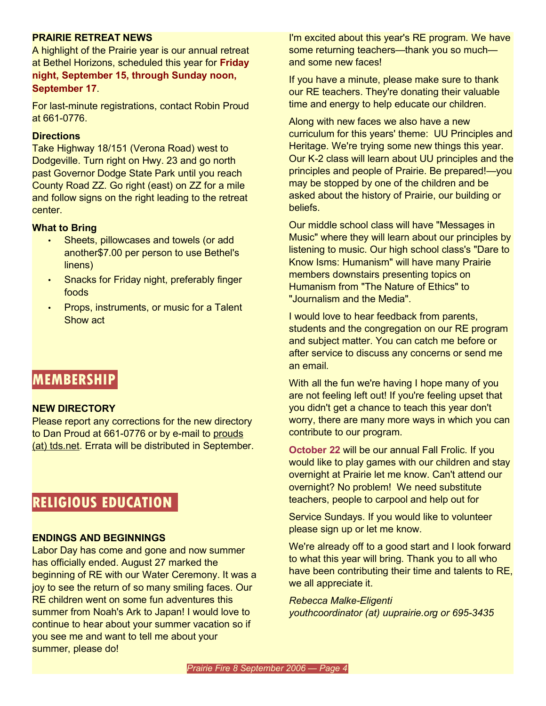#### **PRAIRIE RETREAT NEWS**

A highlight of the Prairie year is our annual retreat at Bethel Horizons, scheduled this year for **Friday night, September 15, through Sunday noon, September 17**.

For last-minute registrations, contact Robin Proud at 661-0776.

#### **Directions**

Take Highway 18/151 (Verona Road) west to Dodgeville. Turn right on Hwy. 23 and go north past Governor Dodge State Park until you reach County Road ZZ. Go right (east) on ZZ for a mile and follow signs on the right leading to the retreat center.

#### **What to Bring**

- Sheets, pillowcases and towels (or add another\$7.00 per person to use Bethel's linens)
- Snacks for Friday night, preferably finger foods
- Props, instruments, or music for a Talent Show act

## **MEMBERSHIP**

#### **NEW DIRECTORY**

Please report any corrections for the new directory to Dan Proud at 661-0776 or by e-mail to prouds (at) tds.net. Errata will be distributed in September.

## **RELIGIOUS EDUCATION**

#### **ENDINGS AND BEGINNINGS**

Labor Day has come and gone and now summer has officially ended. August 27 marked the beginning of RE with our Water Ceremony. It was a joy to see the return of so many smiling faces. Our RE children went on some fun adventures this summer from Noah's Ark to Japan! I would love to continue to hear about your summer vacation so if you see me and want to tell me about your summer, please do!

I'm excited about this year's RE program. We have some returning teachers—thank you so much and some new faces!

If you have a minute, please make sure to thank our RE teachers. They're donating their valuable time and energy to help educate our children.

Along with new faces we also have a new curriculum for this years' theme: UU Principles and Heritage. We're trying some new things this year. Our K-2 class will learn about UU principles and the principles and people of Prairie. Be prepared!—you may be stopped by one of the children and be asked about the history of Prairie, our building or beliefs.

Our middle school class will have "Messages in Music" where they will learn about our principles by listening to music. Our high school class's "Dare to Know Isms: Humanism" will have many Prairie members downstairs presenting topics on Humanism from "The Nature of Ethics" to "Journalism and the Media".

I would love to hear feedback from parents, students and the congregation on our RE program and subject matter. You can catch me before or after service to discuss any concerns or send me an email.

With all the fun we're having I hope many of you are not feeling left out! If you're feeling upset that you didn't get a chance to teach this year don't worry, there are many more ways in which you can contribute to our program.

**October 22** will be our annual Fall Frolic. If you would like to play games with our children and stay overnight at Prairie let me know. Can't attend our overnight? No problem! We need substitute teachers, people to carpool and help out for

Service Sundays. If you would like to volunteer please sign up or let me know.

We're already off to a good start and I look forward to what this year will bring. Thank you to all who have been contributing their time and talents to RE, we all appreciate it.

*Rebecca Malke-Eligenti youthcoordinator (at) uuprairie.org or 695-3435*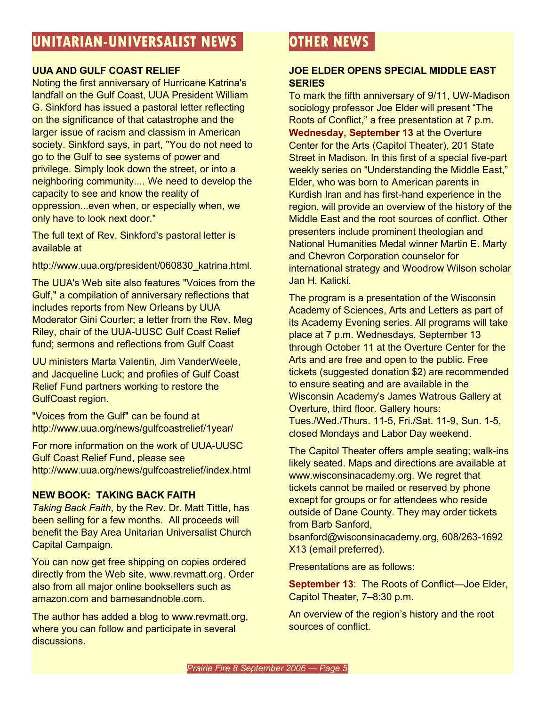## **UUA AND GULF COAST RELIEF**

Noting the first anniversary of Hurricane Katrina's landfall on the Gulf Coast, UUA President William G. Sinkford has issued a pastoral letter reflecting on the significance of that catastrophe and the larger issue of racism and classism in American society. Sinkford says, in part, "You do not need to go to the Gulf to see systems of power and privilege. Simply look down the street, or into a neighboring community.... We need to develop the capacity to see and know the reality of oppression...even when, or especially when, we only have to look next door."

The full text of Rev. Sinkford's pastoral letter is available at

http://www.uua.org/president/060830\_katrina.html.

The UUA's Web site also features "Voices from the Gulf," a compilation of anniversary reflections that includes reports from New Orleans by UUA Moderator Gini Courter; a letter from the Rev. Meg Riley, chair of the UUA-UUSC Gulf Coast Relief fund; sermons and reflections from Gulf Coast

UU ministers Marta Valentin, Jim VanderWeele, and Jacqueline Luck; and profiles of Gulf Coast Relief Fund partners working to restore the GulfCoast region.

"Voices from the Gulf" can be found at http://www.uua.org/news/gulfcoastrelief/1year/

For more information on the work of UUA-UUSC Gulf Coast Relief Fund, please see http://www.uua.org/news/gulfcoastrelief/index.html

## **NEW BOOK: TAKING BACK FAITH**

*Taking Back Faith*, by the Rev. Dr. Matt Tittle, has been selling for a few months. All proceeds will benefit the Bay Area Unitarian Universalist Church Capital Campaign.

You can now get free shipping on copies ordered directly from the Web site, www.revmatt.org. Order also from all major online booksellers such as amazon.com and barnesandnoble.com.

The author has added a blog to www.revmatt.org, where you can follow and participate in several discussions.

# **OTHER NEWS**

## **JOE ELDER OPENS SPECIAL MIDDLE EAST SERIES**

To mark the fifth anniversary of 9/11, UW-Madison sociology professor Joe Elder will present "The Roots of Conflict," a free presentation at 7 p.m. **Wednesday, September 13** at the Overture Center for the Arts (Capitol Theater), 201 State Street in Madison. In this first of a special five-part weekly series on "Understanding the Middle East," Elder, who was born to American parents in Kurdish Iran and has first-hand experience in the region, will provide an overview of the history of the Middle East and the root sources of conflict. Other presenters include prominent theologian and National Humanities Medal winner Martin E. Marty and Chevron Corporation counselor for international strategy and Woodrow Wilson scholar Jan H. Kalicki.

The program is a presentation of the Wisconsin Academy of Sciences, Arts and Letters as part of its Academy Evening series. All programs will take place at 7 p.m. Wednesdays, September 13 through October 11 at the Overture Center for the Arts and are free and open to the public. Free tickets (suggested donation \$2) are recommended to ensure seating and are available in the Wisconsin Academy's James Watrous Gallery at Overture, third floor. Gallery hours: Tues./Wed./Thurs. 11-5, Fri./Sat. 11-9, Sun. 1-5, closed Mondays and Labor Day weekend.

The Capitol Theater offers ample seating; walk-ins likely seated. Maps and directions are available at www.wisconsinacademy.org. We regret that tickets cannot be mailed or reserved by phone except for groups or for attendees who reside outside of Dane County. They may order tickets from Barb Sanford,

bsanford@wisconsinacademy.org, 608/263-1692 X13 (email preferred).

Presentations are as follows:

**September 13**: The Roots of Conflict—Joe Elder, Capitol Theater, 7–8:30 p.m.

An overview of the region's history and the root sources of conflict.